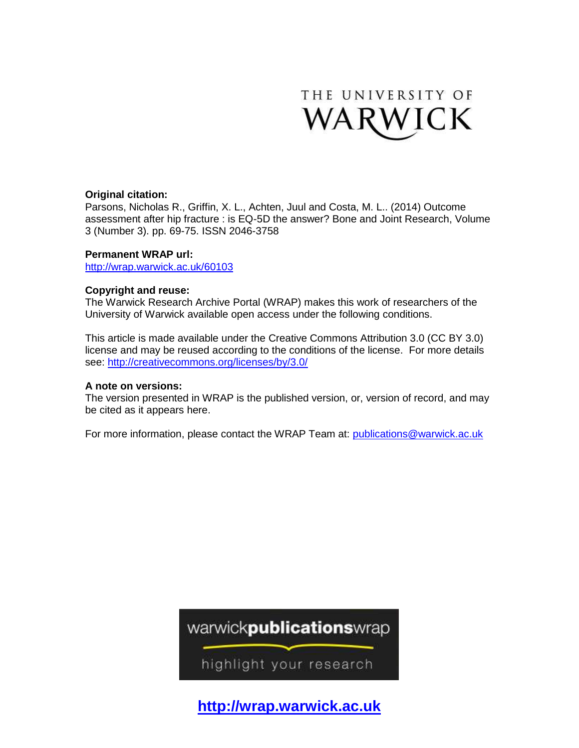

# **Original citation:**

Parsons, Nicholas R., Griffin, X. L., Achten, Juul and Costa, M. L.. (2014) Outcome assessment after hip fracture : is EQ-5D the answer? Bone and Joint Research, Volume 3 (Number 3). pp. 69-75. ISSN 2046-3758

## **Permanent WRAP url:**

<http://wrap.warwick.ac.uk/60103>

# **Copyright and reuse:**

The Warwick Research Archive Portal (WRAP) makes this work of researchers of the University of Warwick available open access under the following conditions.

This article is made available under the Creative Commons Attribution 3.0 (CC BY 3.0) license and may be reused according to the conditions of the license. For more details see:<http://creativecommons.org/licenses/by/3.0/>

## **A note on versions:**

The version presented in WRAP is the published version, or, version of record, and may be cited as it appears here.

For more information, please contact the WRAP Team at: [publications@warwick.ac.uk](mailto:publications@warwick.ac.uk)



highlight your research

**[http://wrap.warwick.ac.uk](http://wrap.warwick.ac.uk/)**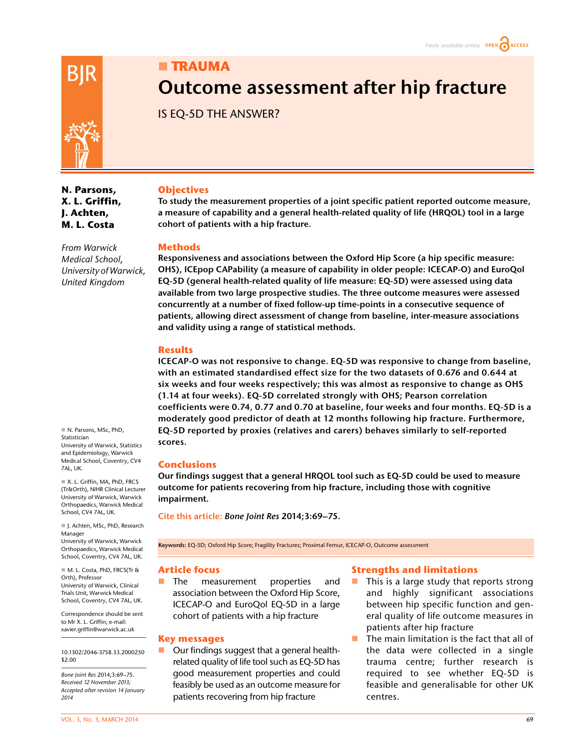# **TRAUMA**

# **Outcome assessment after hip fracture**

IS EQ-5D THE ANSWER?



**N. Parsons, X. L. Griffin, J. Achten, M. L. Costa**

*From Warwick Medical School, University of Warwick,* 

*United Kingdom*

 N. Parsons, MSc, PhD, Statistician University of Warwick, Statistics and Epidemiology, Warwick Medical School, Coventry, CV4 7AL, UK.

 X. L. Griffin, MA, PhD, FRCS (Tr&Orth), NIHR Clinical Lecturer University of Warwick, Warwick Orthopaedics, Warwick Medical School, CV4 7AL, UK.

■ J. Achten, MSc, PhD, Research Manager University of Warwick, Warwick Orthopaedics, Warwick Medical School, Coventry, CV4 7AL, UK.

 M. L. Costa, PhD, FRCS(Tr & Orth), Professor University of Warwick, Clinical Trials Unit, Warwick Medical School, Coventry, CV4 7AL, UK.

Correspondence should be sent to Mr X. L. Griffin; e-mail: xavier.griffin@warwick.ac.uk

10.1302/2046-3758.33.2000250 \$2.00

*Bone Joint Res* 2014;3:69–75. *Received 12 November 2013; Accepted after revision 14 January 2014*

#### **Objectives**

**To study the measurement properties of a joint specific patient reported outcome measure, a measure of capability and a general health-related quality of life (HRQOL) tool in a large cohort of patients with a hip fracture.**

#### **Methods**

**Responsiveness and associations between the Oxford Hip Score (a hip specific measure: OHS), ICEpop CAPability (a measure of capability in older people: ICECAP-O) and EuroQol EQ-5D (general health-related quality of life measure: EQ-5D) were assessed using data available from two large prospective studies. The three outcome measures were assessed concurrently at a number of fixed follow-up time-points in a consecutive sequence of patients, allowing direct assessment of change from baseline, inter-measure associations and validity using a range of statistical methods.**

#### **Results**

**ICECAP-O was not responsive to change. EQ-5D was responsive to change from baseline, with an estimated standardised effect size for the two datasets of 0.676 and 0.644 at six weeks and four weeks respectively; this was almost as responsive to change as OHS (1.14 at four weeks). EQ-5D correlated strongly with OHS; Pearson correlation coefficients were 0.74, 0.77 and 0.70 at baseline, four weeks and four months. EQ-5D is a moderately good predictor of death at 12 months following hip fracture. Furthermore, EQ-5D reported by proxies (relatives and carers) behaves similarly to self-reported scores.**

#### **Conclusions**

**Our findings suggest that a general HRQOL tool such as EQ-5D could be used to measure outcome for patients recovering from hip fracture, including those with cognitive impairment.**

**Cite this article:** *Bone Joint Res* **2014;3:69–75.**

**Keywords:** EQ-5D; Oxford Hip Score; Fragility Fractures; Proximal Femur, ICECAP-O, Outcome assessment

#### **Article focus**

**The measurement properties and** association between the Oxford Hip Score, ICECAP-O and EuroQol EQ-5D in a large cohort of patients with a hip fracture

#### **Key messages**

■ Our findings suggest that a general healthrelated quality of life tool such as EQ-5D has good measurement properties and could feasibly be used as an outcome measure for patients recovering from hip fracture

#### **Strengths and limitations**

- This is a large study that reports strong and highly significant associations between hip specific function and general quality of life outcome measures in patients after hip fracture
- The main limitation is the fact that all of the data were collected in a single trauma centre; further research is required to see whether EQ-5D is feasible and generalisable for other UK centres.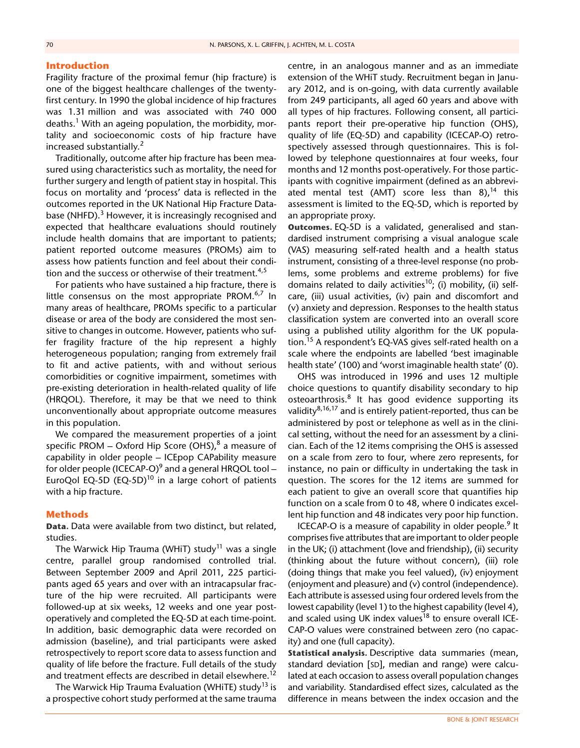#### **Introduction**

Fragility fracture of the proximal femur (hip fracture) is one of the biggest healthcare challenges of the twentyfirst century. In 1990 the global incidence of hip fractures was 1.31 million and was associated with 740 000 deaths.<sup>1</sup> With an ageing population, the morbidity, mortality and socioeconomic costs of hip fracture have increased substantially.<sup>2</sup>

Traditionally, outcome after hip fracture has been measured using characteristics such as mortality, the need for further surgery and length of patient stay in hospital. This focus on mortality and 'process' data is reflected in the outcomes reported in the UK National Hip Fracture Database (NHFD).<sup>3</sup> However, it is increasingly recognised and expected that healthcare evaluations should routinely include health domains that are important to patients; patient reported outcome measures (PROMs) aim to assess how patients function and feel about their condition and the success or otherwise of their treatment.<sup>4,5</sup>

For patients who have sustained a hip fracture, there is little consensus on the most appropriate PROM. $6,7$  In many areas of healthcare, PROMs specific to a particular disease or area of the body are considered the most sensitive to changes in outcome. However, patients who suffer fragility fracture of the hip represent a highly heterogeneous population; ranging from extremely frail to fit and active patients, with and without serious comorbidities or cognitive impairment, sometimes with pre-existing deterioration in health-related quality of life (HRQOL). Therefore, it may be that we need to think unconventionally about appropriate outcome measures in this population.

We compared the measurement properties of a joint specific PROM – Oxford Hip Score (OHS), $8$  a measure of capability in older people – ICEpop CAPability measure for older people (ICECAP-O)<sup>9</sup> and a general HRQOL tool – EuroQol EQ-5D (EQ-5D)<sup>10</sup> in a large cohort of patients with a hip fracture.

#### **Methods**

**Data.** Data were available from two distinct, but related, studies.

The Warwick Hip Trauma (WHiT) study<sup>11</sup> was a single centre, parallel group randomised controlled trial. Between September 2009 and April 2011, 225 participants aged 65 years and over with an intracapsular fracture of the hip were recruited. All participants were followed-up at six weeks, 12 weeks and one year postoperatively and completed the EQ-5D at each time-point. In addition, basic demographic data were recorded on admission (baseline), and trial participants were asked retrospectively to report score data to assess function and quality of life before the fracture. Full details of the study and treatment effects are described in detail elsewhere.<sup>12</sup>

The Warwick Hip Trauma Evaluation (WHiTE) study<sup>13</sup> is a prospective cohort study performed at the same trauma

centre, in an analogous manner and as an immediate extension of the WHiT study. Recruitment began in January 2012, and is on-going, with data currently available from 249 participants, all aged 60 years and above with all types of hip fractures. Following consent, all participants report their pre-operative hip function (OHS), quality of life (EQ-5D) and capability (ICECAP-O) retrospectively assessed through questionnaires. This is followed by telephone questionnaires at four weeks, four months and 12 months post-operatively. For those participants with cognitive impairment (defined as an abbreviated mental test (AMT) score less than  $8$ ),<sup>14</sup> this assessment is limited to the EQ-5D, which is reported by an appropriate proxy.

**Outcomes.** EQ-5D is a validated, generalised and standardised instrument comprising a visual analogue scale (VAS) measuring self-rated health and a health status instrument, consisting of a three-level response (no problems, some problems and extreme problems) for five domains related to daily activities<sup>10</sup>; (i) mobility, (ii) selfcare, (iii) usual activities, (iv) pain and discomfort and (v) anxiety and depression. Responses to the health status classification system are converted into an overall score using a published utility algorithm for the UK population.15 A respondent's EQ-VAS gives self-rated health on a scale where the endpoints are labelled 'best imaginable health state' (100) and 'worst imaginable health state' (0).

OHS was introduced in 1996 and uses 12 multiple choice questions to quantify disability secondary to hip osteoarthrosis.<sup>8</sup> It has good evidence supporting its validity $8,16,17$  and is entirely patient-reported, thus can be administered by post or telephone as well as in the clinical setting, without the need for an assessment by a clinician. Each of the 12 items comprising the OHS is assessed on a scale from zero to four, where zero represents, for instance, no pain or difficulty in undertaking the task in question. The scores for the 12 items are summed for each patient to give an overall score that quantifies hip function on a scale from 0 to 48, where 0 indicates excellent hip function and 48 indicates very poor hip function.

ICECAP-O is a measure of capability in older people.<sup>9</sup> It comprises five attributes that are important to older people in the UK; (i) attachment (love and friendship), (ii) security (thinking about the future without concern), (iii) role (doing things that make you feel valued), (iv) enjoyment (enjoyment and pleasure) and (v) control (independence). Each attribute is assessed using four ordered levels from the lowest capability (level 1) to the highest capability (level 4), and scaled using UK index values<sup>18</sup> to ensure overall ICE-CAP-O values were constrained between zero (no capacity) and one (full capacity).

**Statistical analysis.** Descriptive data summaries (mean, standard deviation [SD], median and range) were calculated at each occasion to assess overall population changes and variability. Standardised effect sizes, calculated as the difference in means between the index occasion and the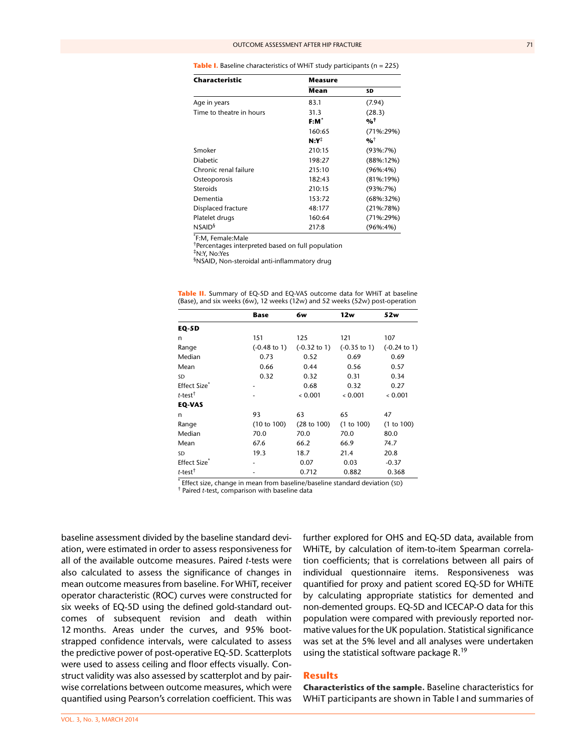| Table I. Baseline characteristics of WHiT study participants ( $n = 225$ ) |  |  |  |
|----------------------------------------------------------------------------|--|--|--|
|----------------------------------------------------------------------------|--|--|--|

| Characteristic           | <b>Measure</b>   |                                   |  |  |  |
|--------------------------|------------------|-----------------------------------|--|--|--|
|                          | Mean             | SD                                |  |  |  |
| Age in years             | 83.1             | (7.94)                            |  |  |  |
| Time to theatre in hours | 31.3             | (28.3)                            |  |  |  |
|                          | $F:M^*$          | $\frac{9}{6}$ <sup>†</sup>        |  |  |  |
|                          | 160:65           | $(71\%:29\%)$                     |  |  |  |
|                          | $N:Y^{\ddagger}$ | $\mathbf{0}/\mathbf{0}^{\dagger}$ |  |  |  |
| Smoker                   | 210:15           | $(93\%:7\%)$                      |  |  |  |
| <b>Diabetic</b>          | 198:27           | $(88\%:12\%)$                     |  |  |  |
| Chronic renal failure    | 215:10           | $(96\% : 4\%)$                    |  |  |  |
| Osteoporosis             | 182:43           | $(81\%:19\%)$                     |  |  |  |
| <b>Steroids</b>          | 210:15           | $(93\%:7\%)$                      |  |  |  |
| Dementia                 | 153:72           | $(68\%:32\%)$                     |  |  |  |
| Displaced fracture       | 48:177           | $(21\%:78\%)$                     |  |  |  |
| Platelet drugs           | 160:64           | $(71\%:29\%)$                     |  |  |  |
| NSAID <sup>§</sup>       | 217:8            | $(96\% : 4\%)$                    |  |  |  |

\* F:M, Female:Male

† Percentages interpreted based on full population

‡ N:Y, No:Yes

§ NSAID, Non-steroidal anti-inflammatory drug

|                          | Base                    | 6w                      | 12w                     | 52w                     |
|--------------------------|-------------------------|-------------------------|-------------------------|-------------------------|
| <b>EQ-5D</b>             |                         |                         |                         |                         |
| n                        | 151                     | 125                     | 121                     | 107                     |
| Range                    | $(-0.48 \text{ to } 1)$ | $(-0.32 \text{ to } 1)$ | $(-0.35 \text{ to } 1)$ | $(-0.24 \text{ to } 1)$ |
| Median                   | 0.73                    | 0.52                    | 0.69                    | 0.69                    |
| Mean                     | 0.66                    | 0.44                    | 0.56                    | 0.57                    |
| SD                       | 0.32                    | 0.32                    | 0.31                    | 0.34                    |
| Effect Size <sup>®</sup> |                         | 0.68                    | 0.32                    | 0.27                    |
| t-test $^{\dagger}$      |                         | 0.001                   | 0.001                   | 0.001                   |
| <b>EQ-VAS</b>            |                         |                         |                         |                         |
| n                        | 93                      | 63                      | 65                      | 47                      |
| Range                    | (10 to 100)             | (28 to 100)             | (1 to 100)              | (1 to 100)              |
| Median                   | 70.0                    | 70.0                    | 70.0                    | 80.0                    |
| Mean                     | 67.6                    | 66.2                    | 66.9                    | 74.7                    |
| SD                       | 19.3                    | 18.7                    | 21.4                    | 20.8                    |
| Effect Size <sup>®</sup> |                         | 0.07                    | 0.03                    | $-0.37$                 |
| $t$ -test $†$            |                         | 0.712                   | 0.882                   | 0.368                   |

|  |  |  | <b>Table II.</b> Summary of EQ-5D and EQ-VAS outcome data for WHiT at baseline |  |  |
|--|--|--|--------------------------------------------------------------------------------|--|--|
|  |  |  | (Base), and six weeks (6w), 12 weeks (12w) and 52 weeks (52w) post-operation   |  |  |

\* Effect size, change in mean from baseline/baseline standard deviation (SD)<br><sup>†</sup> Paired t test, comparison with baseline data

Paired *t*-test, comparison with baseline data

baseline assessment divided by the baseline standard deviation, were estimated in order to assess responsiveness for all of the available outcome measures. Paired *t*-tests were also calculated to assess the significance of changes in mean outcome measures from baseline. For WHiT, receiver operator characteristic (ROC) curves were constructed for six weeks of EQ-5D using the defined gold-standard outcomes of subsequent revision and death within 12 months. Areas under the curves, and 95% bootstrapped confidence intervals, were calculated to assess the predictive power of post-operative EQ-5D. Scatterplots were used to assess ceiling and floor effects visually. Construct validity was also assessed by scatterplot and by pairwise correlations between outcome measures, which were quantified using Pearson's correlation coefficient. This was

further explored for OHS and EQ-5D data, available from WHiTE, by calculation of item-to-item Spearman correlation coefficients; that is correlations between all pairs of individual questionnaire items. Responsiveness was quantified for proxy and patient scored EQ-5D for WHiTE by calculating appropriate statistics for demented and non-demented groups. EQ-5D and ICECAP-O data for this population were compared with previously reported normative values for the UK population. Statistical significance was set at the 5% level and all analyses were undertaken using the statistical software package R.<sup>19</sup>

#### **Results**

**Characteristics of the sample.** Baseline characteristics for WHiT participants are shown in Table I and summaries of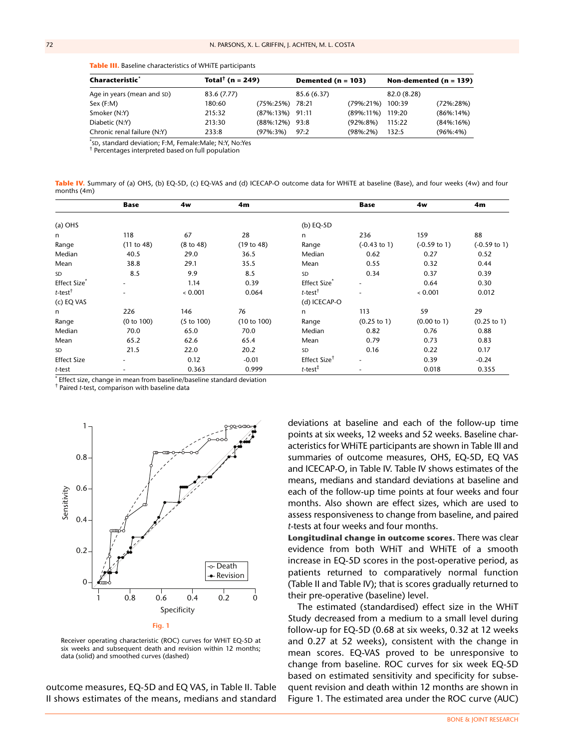**Table III.** Baseline characteristics of WHiTE participants

| Characteristic`             | Total <sup>†</sup> (n = 249) |                     | Demented ( $n = 103$ ) |                  | Non-demented $(n = 139)$ |                |
|-----------------------------|------------------------------|---------------------|------------------------|------------------|--------------------------|----------------|
| Age in years (mean and SD)  | 83.6 (7.77)                  |                     | 85.6 (6.37)            |                  | 82.0 (8.28)              |                |
| Sex (F:M)                   | 180:60                       | (75%:25%) 78:21     |                        | (79%:21%)        | 100:39                   | $(72\%:28\%)$  |
| Smoker (N:Y)                | 215:32                       | $(87\%:13\%)$ 91:11 |                        | (89%:11%) 119:20 |                          | $(86\%:14\%)$  |
| Diabetic (N:Y)              | 213:30                       | $(88\%:12\%)$ 93:8  |                        | $(92\% : 8\%)$   | 115:22                   | $(84\%:16\%)$  |
| Chronic renal failure (N:Y) | 233:8                        | (97%:3%)            | 97:2                   | $(98\%:2\%)$     | 132:5                    | $(96\% : 4\%)$ |
|                             |                              |                     |                        |                  |                          |                |

\* SD, standard deviation; F:M, Female:Male; N:Y, No:Yes †

 $^\dagger$  Percentages interpreted based on full population

Table IV. Summary of (a) OHS, (b) EQ-5D, (c) EQ-VAS and (d) ICECAP-O outcome data for WHiTE at baseline (Base), and four weeks (4w) and four months (4m)

|                          | <b>Base</b> | 4w                    | 4m          |                          | <b>Base</b>              | 4w                      | 4m                      |
|--------------------------|-------------|-----------------------|-------------|--------------------------|--------------------------|-------------------------|-------------------------|
| $(a)$ OHS                |             |                       |             | (b) $EQ-5D$              |                          |                         |                         |
| n                        | 118         | 67                    | 28          | n.                       | 236                      | 159                     | 88                      |
| Range                    | (11 to 48)  | $(8 \text{ to } 48)$  | (19 to 48)  | Range                    | $(-0.43 \text{ to } 1)$  | $(-0.59 \text{ to } 1)$ | $(-0.59 \text{ to } 1)$ |
| Median                   | 40.5        | 29.0                  | 36.5        | Median                   | 0.62                     | 0.27                    | 0.52                    |
| Mean                     | 38.8        | 29.1                  | 35.5        | Mean                     | 0.55                     | 0.32                    | 0.44                    |
| <b>SD</b>                | 8.5         | 9.9                   | 8.5         | SD                       | 0.34                     | 0.37                    | 0.39                    |
| Effect Size <sup>*</sup> |             | 1.14                  | 0.39        | Effect Size <sup>*</sup> |                          | 0.64                    | 0.30                    |
| $t$ -test <sup>†</sup>   |             | 0.001                 | 0.064       | $t$ -test <sup>†</sup>   |                          | 0.001                   | 0.012                   |
| (c) EQ VAS               |             |                       |             | (d) ICECAP-O             |                          |                         |                         |
| n                        | 226         | 146                   | 76          | n.                       | 113                      | 59                      | 29                      |
| Range                    | (0 to 100)  | $(5 \text{ to } 100)$ | (10 to 100) | Range                    | $(0.25 \text{ to } 1)$   | (0.00 to 1)             | $(0.25 \text{ to } 1)$  |
| Median                   | 70.0        | 65.0                  | 70.0        | Median                   | 0.82                     | 0.76                    | 0.88                    |
| Mean                     | 65.2        | 62.6                  | 65.4        | Mean                     | 0.79                     | 0.73                    | 0.83                    |
| <b>SD</b>                | 21.5        | 22.0                  | 20.2        | SD                       | 0.16                     | 0.22                    | 0.17                    |
| <b>Effect Size</b>       |             | 0.12                  | $-0.01$     | Effect Size <sup>†</sup> | $\overline{\phantom{a}}$ | 0.39                    | $-0.24$                 |
| t-test                   |             | 0.363                 | 0.999       | $t$ -test $†$            |                          | 0.018                   | 0.355                   |

\* Effect size, change in mean from baseline/baseline standard deviation

† Paired *t*-test, comparison with baseline data



Receiver operating characteristic (ROC) curves for WHiT EQ-5D at six weeks and subsequent death and revision within 12 months; data (solid) and smoothed curves (dashed)

outcome measures, EQ-5D and EQ VAS, in Table II. Table II shows estimates of the means, medians and standard

deviations at baseline and each of the follow-up time points at six weeks, 12 weeks and 52 weeks. Baseline characteristics for WHiTE participants are shown in Table III and summaries of outcome measures, OHS, EQ-5D, EQ VAS and ICECAP-O, in Table IV. Table IV shows estimates of the means, medians and standard deviations at baseline and each of the follow-up time points at four weeks and four months. Also shown are effect sizes, which are used to assess responsiveness to change from baseline, and paired *t*-tests at four weeks and four months.

**Longitudinal change in outcome scores.** There was clear evidence from both WHiT and WHiTE of a smooth increase in EQ-5D scores in the post-operative period, as patients returned to comparatively normal function (Table II and Table IV); that is scores gradually returned to their pre-operative (baseline) level.

The estimated (standardised) effect size in the WHiT Study decreased from a medium to a small level during follow-up for EQ-5D (0.68 at six weeks, 0.32 at 12 weeks and 0.27 at 52 weeks), consistent with the change in mean scores. EQ-VAS proved to be unresponsive to change from baseline. ROC curves for six week EQ-5D based on estimated sensitivity and specificity for subsequent revision and death within 12 months are shown in Figure 1. The estimated area under the ROC curve (AUC)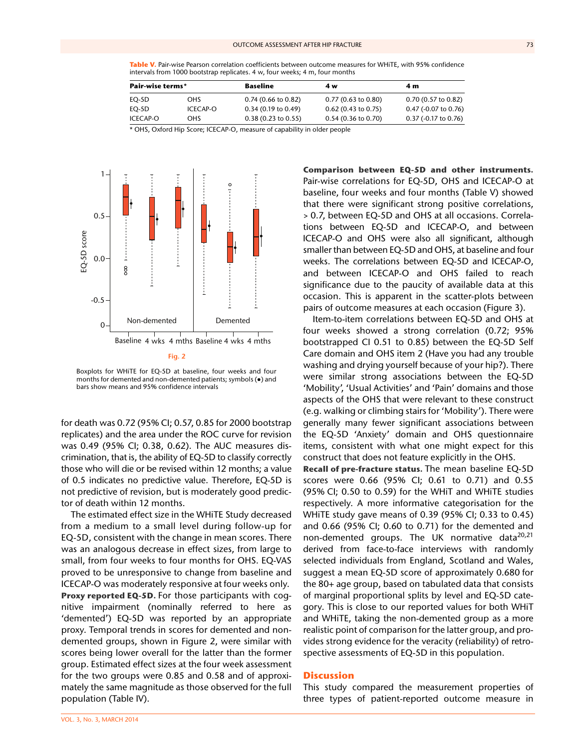Table V. Pair-wise Pearson correlation coefficients between outcome measures for WHiTE, with 95% confidence intervals from 1000 bootstrap replicates. 4 w, four weeks; 4 m, four months

| Pair-wise terms* |            | Baseline                      | 4 w                           | 4 m                    |
|------------------|------------|-------------------------------|-------------------------------|------------------------|
| EO-5D            | <b>OHS</b> | $0.74$ (0.66 to 0.82)         | $0.77(0.63 \text{ to } 0.80)$ | $0.70(0.57)$ to $0.82$ |
| EO-5D            | ICECAP-O   | $0.34$ (0.19 to 0.49)         | $0.62$ (0.43 to 0.75)         | 0.47 (-0.07 to 0.76)   |
| ICECAP-O         | <b>OHS</b> | $0.38(0.23 \text{ to } 0.55)$ | $0.54$ (0.36 to 0.70)         | $0.37$ (-0.17 to 0.76) |

\* OHS, Oxford Hip Score; ICECAP-O, measure of capability in older people



Boxplots for WHiTE for EQ-5D at baseline, four weeks and four months for demented and non-demented patients; symbols (●) and bars show means and 95% confidence intervals

for death was 0.72 (95% CI; 0.57, 0.85 for 2000 bootstrap replicates) and the area under the ROC curve for revision was 0.49 (95% CI; 0.38, 0.62). The AUC measures discrimination, that is, the ability of EQ-5D to classify correctly those who will die or be revised within 12 months; a value of 0.5 indicates no predictive value. Therefore, EQ-5D is not predictive of revision, but is moderately good predictor of death within 12 months.

The estimated effect size in the WHiTE Study decreased from a medium to a small level during follow-up for EQ-5D, consistent with the change in mean scores. There was an analogous decrease in effect sizes, from large to small, from four weeks to four months for OHS. EQ-VAS proved to be unresponsive to change from baseline and ICECAP-O was moderately responsive at four weeks only. **Proxy reported EQ-5D.** For those participants with cognitive impairment (nominally referred to here as 'demented') EQ-5D was reported by an appropriate proxy. Temporal trends in scores for demented and nondemented groups, shown in Figure 2, were similar with scores being lower overall for the latter than the former group. Estimated effect sizes at the four week assessment for the two groups were 0.85 and 0.58 and of approximately the same magnitude as those observed for the full population (Table IV).

**Comparison between EQ-5D and other instruments.** Pair-wise correlations for EQ-5D, OHS and ICECAP-O at baseline, four weeks and four months (Table V) showed that there were significant strong positive correlations, > 0.7, between EQ-5D and OHS at all occasions. Correlations between EQ-5D and ICECAP-O, and between ICECAP-O and OHS were also all significant, although smaller than between EQ-5D and OHS, at baseline and four weeks. The correlations between EQ-5D and ICECAP-O, and between ICECAP-O and OHS failed to reach significance due to the paucity of available data at this occasion. This is apparent in the scatter-plots between pairs of outcome measures at each occasion (Figure 3).

Item-to-item correlations between EQ-5D and OHS at four weeks showed a strong correlation (0.72; 95% bootstrapped CI 0.51 to 0.85) between the EQ-5D Self Care domain and OHS item 2 (Have you had any trouble washing and drying yourself because of your hip?). There were similar strong associations between the EQ-5D 'Mobility', 'Usual Activities' and 'Pain' domains and those aspects of the OHS that were relevant to these construct (e.g. walking or climbing stairs for 'Mobility'). There were generally many fewer significant associations between the EQ-5D 'Anxiety' domain and OHS questionnaire items, consistent with what one might expect for this construct that does not feature explicitly in the OHS.

**Recall of pre-fracture status.** The mean baseline EQ-5D scores were 0.66 (95% CI; 0.61 to 0.71) and 0.55 (95% CI; 0.50 to 0.59) for the WHiT and WHiTE studies respectively. A more informative categorisation for the WHiTE study gave means of 0.39 (95% CI; 0.33 to 0.45) and 0.66 (95% CI; 0.60 to 0.71) for the demented and non-demented groups. The UK normative data $20,21$ derived from face-to-face interviews with randomly selected individuals from England, Scotland and Wales, suggest a mean EQ-5D score of approximately 0.680 for the 80+ age group, based on tabulated data that consists of marginal proportional splits by level and EQ-5D category. This is close to our reported values for both WHiT and WHiTE, taking the non-demented group as a more realistic point of comparison for the latter group, and provides strong evidence for the veracity (reliability) of retrospective assessments of EQ-5D in this population.

#### **Discussion**

This study compared the measurement properties of three types of patient-reported outcome measure in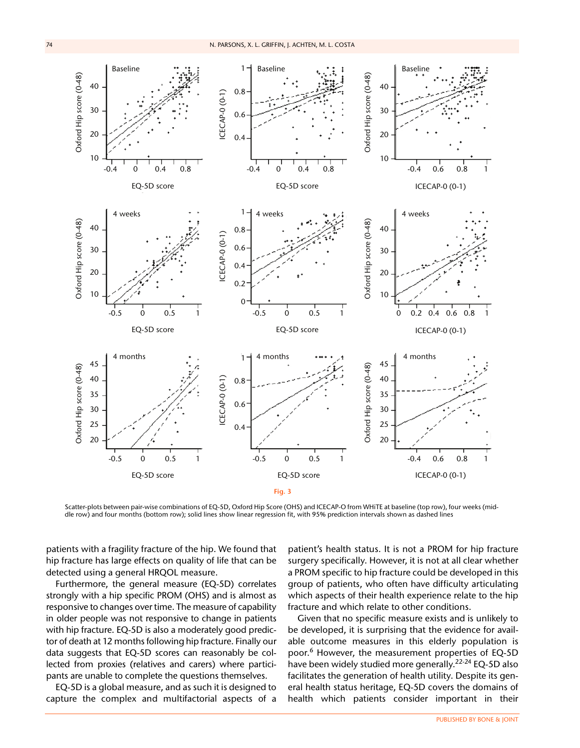

Scatter-plots between pair-wise combinations of EQ-5D, Oxford Hip Score (OHS) and ICECAP-O from WHiTE at baseline (top row), four weeks (middle row) and four months (bottom row); solid lines show linear regression fit, with 95% prediction intervals shown as dashed lines

patients with a fragility fracture of the hip. We found that hip fracture has large effects on quality of life that can be detected using a general HRQOL measure.

Furthermore, the general measure (EQ-5D) correlates strongly with a hip specific PROM (OHS) and is almost as responsive to changes over time. The measure of capability in older people was not responsive to change in patients with hip fracture. EQ-5D is also a moderately good predictor of death at 12 months following hip fracture. Finally our data suggests that EQ-5D scores can reasonably be collected from proxies (relatives and carers) where participants are unable to complete the questions themselves.

EQ-5D is a global measure, and as such it is designed to capture the complex and multifactorial aspects of a

patient's health status. It is not a PROM for hip fracture surgery specifically. However, it is not at all clear whether a PROM specific to hip fracture could be developed in this group of patients, who often have difficulty articulating which aspects of their health experience relate to the hip fracture and which relate to other conditions.

Given that no specific measure exists and is unlikely to be developed, it is surprising that the evidence for available outcome measures in this elderly population is poor.6 However, the measurement properties of EQ-5D have been widely studied more generally.<sup>22-24</sup> EQ-5D also facilitates the generation of health utility. Despite its general health status heritage, EQ-5D covers the domains of health which patients consider important in their